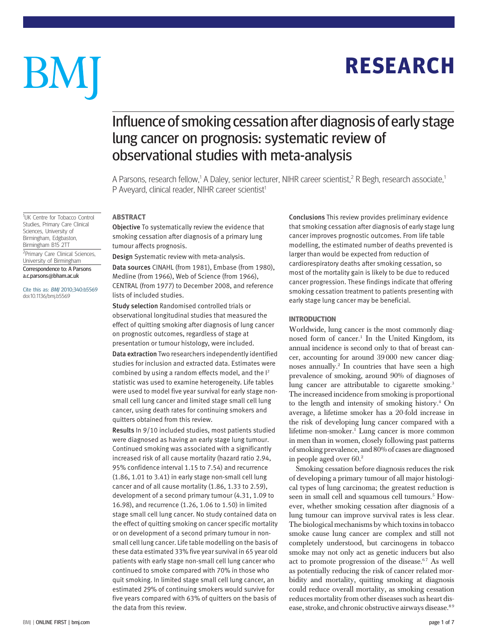# **RESEARCH** RESEARCH

# BM

## Influence of smoking cessation after diagnosis of early stage lung cancer on prognosis: systematic review of observational studies with meta-analysis

A Parsons, research fellow,<sup>1</sup> A Daley, senior lecturer, NIHR career scientist,<sup>2</sup> R Begh, research associate,<sup>1</sup> P Avevard, clinical reader, NIHR career scientist<sup>1</sup>

## **ABSTRACT**

Objective To systematically review the evidence that smoking cessation after diagnosis of a primary lung tumour affects prognosis.

Design Systematic review with meta-analysis. Data sources CINAHL (from 1981), Embase (from 1980), Medline (from 1966), Web of Science (from 1966), CENTRAL (from 1977) to December 2008, and reference lists of included studies.

Study selection Randomised controlled trials or observational longitudinal studies that measured the effect of quitting smoking after diagnosis of lung cancer on prognostic outcomes, regardless of stage at presentation or tumour histology, were included.

Data extraction Two researchers independently identified studies for inclusion and extracted data. Estimates were combined by using a random effects model, and the  $I<sup>2</sup>$ statistic was used to examine heterogeneity. Life tables were used to model five year survival for early stage nonsmall cell lung cancer and limited stage small cell lung cancer, using death rates for continuing smokers and quitters obtained from this review.

Results In 9/10 included studies, most patients studied were diagnosed as having an early stage lung tumour. Continued smoking was associated with a significantly increased risk of all cause mortality (hazard ratio 2.94, 95% confidence interval 1.15 to 7.54) and recurrence (1.86, 1.01 to 3.41) in early stage non-small cell lung cancer and of all cause mortality (1.86, 1.33 to 2.59), development of a second primary tumour (4.31, 1.09 to 16.98), and recurrence (1.26, 1.06 to 1.50) in limited stage small cell lung cancer. No study contained data on the effect of quitting smoking on cancer specific mortality or on development of a second primary tumour in nonsmall cell lung cancer. Life table modelling on the basis of these data estimated 33% five year survival in 65 year old patients with early stage non-small cell lung cancer who continued to smoke compared with 70% in those who quit smoking. In limited stage small cell lung cancer, an estimated 29% of continuing smokers would survive for five years compared with 63% of quitters on the basis of the data from this review.

Conclusions This review provides preliminary evidence that smoking cessation after diagnosis of early stage lung cancer improves prognostic outcomes. From life table modelling, the estimated number of deaths prevented is larger than would be expected from reduction of cardiorespiratory deaths after smoking cessation, so most of the mortality gain is likely to be due to reduced cancer progression. These findings indicate that offering smoking cessation treatment to patients presenting with early stage lung cancer may be beneficial.

worldwide, lung cancer is the most commonly diagnosed form of cancer.<sup>1</sup> In the United Kingdom, its annual incidence is second only to that of breast cancer, accounting for around 39 000 new cancer diagnoses annually.2 In countries that have seen a high prevalence of smoking, around 90% of diagnoses of lung cancer are attributable to cigarette smoking.<sup>3</sup> The increased incidence from smoking is proportional to the length and intensity of smoking history.<sup>4</sup> On average, a lifetime smoker has a 20-fold increase in the risk of developing lung cancer compared with a lifetime non-smoker.<sup>1</sup> Lung cancer is more common in men than in women, closely following past patterns of smoking prevalence, and 80% of cases are diagnosed in people aged over 60.2

Smoking cessation before diagnosis reduces the risk of developing a primary tumour of all major histological types of lung carcinoma; the greatest reduction is seen in small cell and squamous cell tumours.<sup>5</sup> However, whether smoking cessation after diagnosis of a lung tumour can improve survival rates is less clear. The biological mechanisms by which toxins in tobacco smoke cause lung cancer are complex and still not completely understood, but carcinogens in tobacco smoke may not only act as genetic inducers but also act to promote progression of the disease. $67$  As well as potentially reducing the risk of cancer related morbidity and mortality, quitting smoking at diagnosis could reduce overall mortality, as smoking cessation reduces mortality from other diseases such as heart disease, stroke, and chronic obstructive airways disease.<sup>89</sup>

<sup>1</sup>UK Centre for Tobacco Control Studies, Primary Care Clinical Sciences, University of Birmingham, Edgbaston, Birmingham B15 2TT

<sup>2</sup> Primary Care Clinical Sciences, University of Birmingham Correspondence to: A Parsons a.c.parsons@bham.ac.uk

Cite this as: BMJ 2010;340:b5569 doi:10.1136/bmj.b5569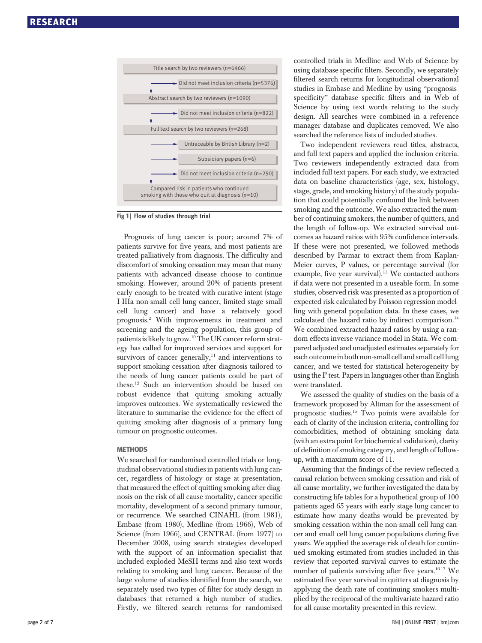

Fig 1 | Flow of studies through trial

Prognosis of lung cancer is poor; around 7% of patients survive for five years, and most patients are treated palliatively from diagnosis. The difficulty and discomfort of smoking cessation may mean that many patients with advanced disease choose to continue smoking. However, around 20% of patients present early enough to be treated with curative intent (stage I-IIIa non-small cell lung cancer, limited stage small cell lung cancer) and have a relatively good prognosis.2 With improvements in treatment and screening and the ageing population, this group of patients is likely to grow.<sup>10</sup>The UK cancer reform strategy has called for improved services and support for survivors of cancer generally, $^{11}$  and interventions to support smoking cessation after diagnosis tailored to the needs of lung cancer patients could be part of these.12 Such an intervention should be based on robust evidence that quitting smoking actually improves outcomes. We systematically reviewed the literature to summarise the evidence for the effect of quitting smoking after diagnosis of a primary lung tumour on prognostic outcomes.

We searched for randomised controlled trials or longitudinal observational studies in patients with lung cancer, regardless of histology or stage at presentation, that measured the effect of quitting smoking after diagnosis on the risk of all cause mortality, cancer specific mortality, development of a second primary tumour, or recurrence. We searched CINAHL (from 1981), Embase (from 1980), Medline (from 1966), Web of Science (from 1966), and CENTRAL (from 1977) to December 2008, using search strategies developed with the support of an information specialist that included exploded MeSH terms and also text words relating to smoking and lung cancer. Because of the large volume of studies identified from the search, we separately used two types of filter for study design in databases that returned a high number of studies. Firstly, we filtered search returns for randomised controlled trials in Medline and Web of Science by using database specific filters. Secondly, we separately filtered search returns for longitudinal observational studies in Embase and Medline by using "prognosisspecificity" database specific filters and in Web of Science by using text words relating to the study design. All searches were combined in a reference manager database and duplicates removed. We also searched the reference lists of included studies.

Two independent reviewers read titles, abstracts, and full text papers and applied the inclusion criteria. Two reviewers independently extracted data from included full text papers. For each study, we extracted data on baseline characteristics (age, sex, histology, stage, grade, and smoking history) of the study population that could potentially confound the link between smoking and the outcome. We also extracted the number of continuing smokers, the number of quitters, and the length of follow-up. We extracted survival outcomes as hazard ratios with 95% confidence intervals. If these were not presented, we followed methods described by Parmar to extract them from Kaplan-Meier curves, P values, or percentage survival (for example, five year survival).<sup>13</sup> We contacted authors if data were not presented in a useable form. In some studies, observed risk was presented as a proportion of expected risk calculated by Poisson regression modelling with general population data. In these cases, we calculated the hazard ratio by indirect comparison.<sup>14</sup> We combined extracted hazard ratios by using a random effects inverse variance model in Stata. We compared adjusted and unadjusted estimates separately for each outcome in both non-small cell and small cell lung cancer, and we tested for statistical heterogeneity by using the I<sup>2</sup> test. Papers in languages other than English were translated.

We assessed the quality of studies on the basis of a framework proposed by Altman for the assessment of prognostic studies.15 Two points were available for each of clarity of the inclusion criteria, controlling for comorbidities, method of obtaining smoking data (with an extra point for biochemical validation), clarity of definition of smoking category, and length of followup, with a maximum score of 11.

Assuming that the findings of the review reflected a causal relation between smoking cessation and risk of all cause mortality, we further investigated the data by constructing life tables for a hypothetical group of 100 patients aged 65 years with early stage lung cancer to estimate how many deaths would be prevented by smoking cessation within the non-small cell lung cancer and small cell lung cancer populations during five years. We applied the average risk of death for continued smoking estimated from studies included in this review that reported survival curves to estimate the number of patients surviving after five years.<sup>1617</sup> We estimated five year survival in quitters at diagnosis by applying the death rate of continuing smokers multiplied by the reciprocal of the multivariate hazard ratio for all cause mortality presented in this review.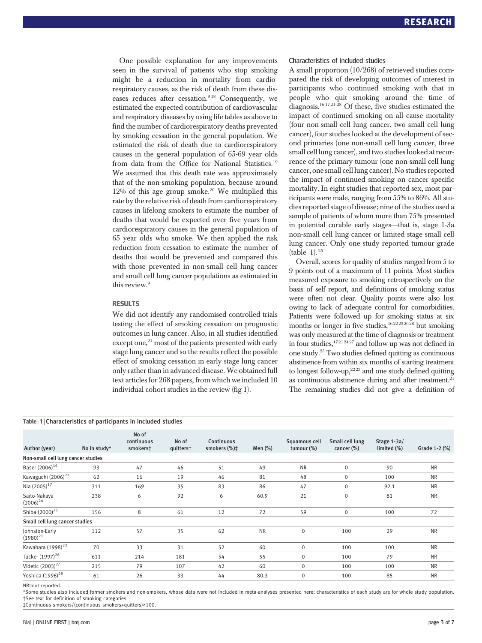One possible explanation for any improvements seen in the survival of patients who stop smoking might be a reduction in mortality from cardiorespiratory causes, as the risk of death from these diseases reduces after cessation.<sup>918</sup> Consequently, we estimated the expected contribution of cardiovascular and respiratory diseases by using life tables as above to find the number of cardiorespiratory deaths prevented by smoking cessation in the general population. We estimated the risk of death due to cardiorespiratory causes in the general population of 65-69 year olds from data from the Office for National Statistics.<sup>19</sup> We assumed that this death rate was approximately that of the non-smoking population, because around  $12\%$  of this age group smoke.<sup>20</sup> We multiplied this rate by the relative risk of death from cardiorespiratory causes in lifelong smokers to estimate the number of deaths that would be expected over five years from cardiorespiratory causes in the general population of 65 year olds who smoke. We then applied the risk reduction from cessation to estimate the number of deaths that would be prevented and compared this with those prevented in non-small cell lung cancer and small cell lung cancer populations as estimated in this review.<sup>9</sup>

## **RESIJITS**

we did not identify any randomised controlled trials testing the effect of smoking cessation on prognostic outcomes in lung cancer. Also, in all studies identified except one, $^{21}$  most of the patients presented with early stage lung cancer and so the results reflect the possible effect of smoking cessation in early stage lung cancer only rather than in advanced disease. We obtained full text articles for 268 papers, from which we included 10 individual cohort studies in the review (fig 1).

#### Characteristics of included studies

A small proportion (10/268) of retrieved studies compared the risk of developing outcomes of interest in participants who continued smoking with that in people who quit smoking around the time of diagnosis.16 17 21-28 Of these, five studies estimated the impact of continued smoking on all cause mortality (four non-small cell lung cancer, two small cell lung cancer), four studies looked at the development of second primaries (one non-small cell lung cancer, three small cell lung cancer), and two studies looked at recurrence of the primary tumour (one non-small cell lung cancer, one small cell lung cancer). No studies reported the impact of continued smoking on cancer specific mortality. In eight studies that reported sex, most participants were male, ranging from 55% to 86%. All studies reported stage of disease; nine of the studies used a sample of patients of whom more than 75% presented in potential curable early stages—that is, stage 1-3a non-small cell lung cancer or limited stage small cell lung cancer. Only one study reported tumour grade (table 1). <sup>25</sup>

Overall, scores for quality of studies ranged from 5 to 9 points out of a maximum of 11 points. Most studies measured exposure to smoking retrospectively on the basis of self report, and definitions of smoking status were often not clear. Quality points were also lost owing to lack of adequate control for comorbidities. Patients were followed up for smoking status at six months or longer in five studies,  $1622232628$  but smoking was only measured at the time of diagnosis or treatment in four studies,<sup>17212427</sup> and follow-up was not defined in one study.25 Two studies defined quitting as continuous abstinence from within six months of starting treatment to longest follow-up, $2223$  and one study defined quitting as continuous abstinence during and after treatment. $^{21}$ The remaining studies did not give a definition of

| Table 1 Characteristics of participants in included studies |              |                                 |                    |                                        |            |                             |                               |                            |               |  |
|-------------------------------------------------------------|--------------|---------------------------------|--------------------|----------------------------------------|------------|-----------------------------|-------------------------------|----------------------------|---------------|--|
| Author (year)                                               | No in study* | No of<br>continuous<br>smokerst | No of<br>quitters† | Continuous<br>smokers (%) <sup>±</sup> | Men $(\%)$ | Squamous cell<br>tumour (%) | Small cell lung<br>cancer (%) | Stage 1-3a/<br>limited (%) | Grade 1-2 (%) |  |
| Non-small cell lung cancer studies                          |              |                                 |                    |                                        |            |                             |                               |                            |               |  |
| Baser (2006) <sup>16</sup>                                  | 93           | 47                              | 46                 | 51                                     | 49         | <b>NR</b>                   | $\pmb{0}$                     | 90                         | <b>NR</b>     |  |
| Kawaguchi (2006) <sup>22</sup>                              | 62           | 16                              | 19                 | 46                                     | 81         | 48                          | 0                             | 100                        | <b>NR</b>     |  |
| Nia $(2005)^{17}$                                           | 311          | 169                             | 35                 | 83                                     | 86         | 47                          | $\mathbf 0$                   | 92.1                       | <b>NR</b>     |  |
| Saito-Nakaya<br>$(2006)^{24}$                               | 238          | 6                               | 92                 | 6                                      | 60.9       | 21                          | $\mathbf 0$                   | 81                         | <b>NR</b>     |  |
| Shiba (2000) <sup>25</sup>                                  | 156          | 8                               | 61                 | 12                                     | 72         | 59                          | $\pmb{0}$                     | 100                        | 72            |  |
| Small cell lung cancer studies                              |              |                                 |                    |                                        |            |                             |                               |                            |               |  |
| Johnston-Early<br>$(1980)^{21}$                             | 112          | 57                              | 35                 | 62                                     | <b>NR</b>  | $\mathbf{0}$                | 100                           | 29                         | <b>NR</b>     |  |
| Kawahara (1998) <sup>23</sup>                               | 70           | 33                              | 31                 | 52                                     | 60         | $\mathbf 0$                 | 100                           | 100                        | <b>NR</b>     |  |
| Tucker (1997) <sup>26</sup>                                 | 611          | 214                             | 181                | 54                                     | 55         | $\mathbf{0}$                | 100                           | 79                         | <b>NR</b>     |  |
| Videtic (2003) <sup>27</sup>                                | 215          | 79                              | 107                | 42                                     | 60         | $\mathbf{0}$                | 100                           | 100                        | <b>NR</b>     |  |
| Yoshida (1996) <sup>28</sup>                                | 61           | 26                              | 33                 | 44                                     | 80.3       | $\mathbf{0}$                | 100                           | 85                         | <b>NR</b>     |  |

#### NR=not reported.

\*Some studies also included former smokers and non-smokers, whose data were not included in meta-analyses presented here; characteristics of each study are for whole study population. †See text for definition of smoking categories.

‡Continuous smokers/(continuous smokers+quitters)×100.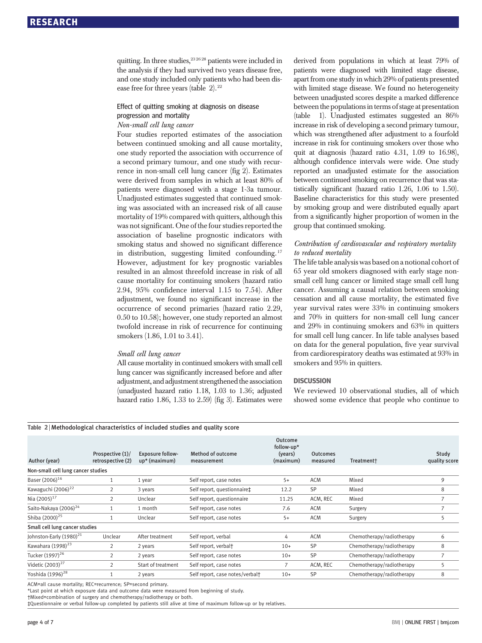quitting. In three studies,<sup>232628</sup> patients were included in the analysis if they had survived two years disease free, and one study included only patients who had been disease free for three years (table 2).<sup>22</sup>

## Effect of quitting smoking at diagnosis on disease progression and mortality

## Non-small cell lung cancer

Four studies reported estimates of the association between continued smoking and all cause mortality, one study reported the association with occurrence of a second primary tumour, and one study with recurrence in non-small cell lung cancer (fig 2). Estimates were derived from samples in which at least 80% of patients were diagnosed with a stage 1-3a tumour. Unadjusted estimates suggested that continued smoking was associated with an increased risk of all cause mortality of 19% compared with quitters, although this was not significant. One of the four studies reported the association of baseline prognostic indicators with smoking status and showed no significant difference in distribution, suggesting limited confounding.<sup>17</sup> However, adjustment for key prognostic variables resulted in an almost threefold increase in risk of all cause mortality for continuing smokers (hazard ratio 2.94, 95% confidence interval 1.15 to 7.54). After adjustment, we found no significant increase in the occurrence of second primaries (hazard ratio 2.29, 0.50 to 10.58); however, one study reported an almost twofold increase in risk of recurrence for continuing smokers (1.86, 1.01 to 3.41).

#### Small cell lung cancer

All cause mortality in continued smokers with small cell lung cancer was significantly increased before and after adjustment, and adjustment strengthened the association (unadjusted hazard ratio 1.18, 1.03 to 1.36; adjusted hazard ratio  $1.86$ ,  $1.33$  to  $2.59$ ) (fig 3). Estimates were

derived from populations in which at least 79% of patients were diagnosed with limited stage disease, apart from one study in which 29% of patients presented with limited stage disease. We found no heterogeneity between unadjusted scores despite a marked difference between the populations in terms of stage at presentation (table 1). Unadjusted estimates suggested an 86% increase in risk of developing a second primary tumour, which was strengthened after adjustment to a fourfold increase in risk for continuing smokers over those who quit at diagnosis (hazard ratio 4.31, 1.09 to 16.98), although confidence intervals were wide. One study reported an unadjusted estimate for the association between continued smoking on recurrence that was statistically significant (hazard ratio 1.26, 1.06 to 1.50). Baseline characteristics for this study were presented by smoking group and were distributed equally apart from a significantly higher proportion of women in the group that continued smoking.

## Contribution of cardiovascular and respiratory mortality to reduced mortality

The life table analysis was based on a notional cohort of 65 year old smokers diagnosed with early stage nonsmall cell lung cancer or limited stage small cell lung cancer. Assuming a causal relation between smoking cessation and all cause mortality, the estimated five year survival rates were 33% in continuing smokers and 70% in quitters for non-small cell lung cancer and 29% in continuing smokers and 63% in quitters for small cell lung cancer. In life table analyses based on data for the general population, five year survival from cardiorespiratory deaths was estimated at 93% in smokers and 95% in quitters.

We reviewed 10 observational studies, all of which showed some evidence that people who continue to

#### Table 2 <sup>|</sup> Methodological characteristics of included studies and quality score

| Author (year)                      | Prospective (1)/<br>retrospective (2) | <b>Exposure follow-</b><br>$up*$ (maximum) | Method of outcome<br>measurement | Outcome<br>follow-up*<br>(years)<br>(maximum) | <b>Outcomes</b><br>measured | Treatment+                | Study<br>quality score |
|------------------------------------|---------------------------------------|--------------------------------------------|----------------------------------|-----------------------------------------------|-----------------------------|---------------------------|------------------------|
| Non-small cell lung cancer studies |                                       |                                            |                                  |                                               |                             |                           |                        |
| Baser (2006) <sup>16</sup>         |                                       | 1 year                                     | Self report, case notes          | $5+$                                          | <b>ACM</b>                  | Mixed                     | 9                      |
| Kawaguchi (2006) <sup>22</sup>     | 2                                     | 3 years                                    | Self report, questionnaire‡      | 12.2                                          | <b>SP</b>                   | Mixed                     | 8                      |
| Nia $(2005)^{17}$                  | 2                                     | Unclear                                    | Self report, questionnaire       | 11.25                                         | ACM, REC                    | Mixed                     |                        |
| Saito-Nakaya (2006) <sup>24</sup>  |                                       | 1 month                                    | Self report, case notes          | 7.6                                           | <b>ACM</b>                  | Surgery                   |                        |
| Shiba $(2000)^{25}$                |                                       | Unclear                                    | Self report, case notes          | $5+$                                          | <b>ACM</b>                  | Surgery                   | 5                      |
| Small cell lung cancer studies     |                                       |                                            |                                  |                                               |                             |                           |                        |
| Johnston-Early $(1980)^{21}$       | Unclear                               | After treatment                            | Self report, verbal              | 4                                             | <b>ACM</b>                  | Chemotherapy/radiotherapy | 6                      |
| Kawahara (1998) <sup>23</sup>      | 2                                     | 2 years                                    | Self report, verbal <sup>+</sup> | $10+$                                         | SP                          | Chemotherapy/radiotherapy | 8                      |
| Tucker (1997) <sup>26</sup>        | 2                                     | 2 years                                    | Self report, case notes          | $10+$                                         | <b>SP</b>                   | Chemotherapy/radiotherapy | 7                      |
| Videtic $(2003)^{27}$              | 2                                     | Start of treatment                         | Self report, case notes          |                                               | ACM, REC                    | Chemotherapy/radiotherapy | 5                      |
| Yoshida (1996) <sup>28</sup>       |                                       | 2 years                                    | Self report, case notes/verbal†  | $10+$                                         | <b>SP</b>                   | Chemotherapy/radiotherapy | 8                      |
|                                    |                                       |                                            |                                  |                                               |                             |                           |                        |

ACM=all cause mortality; REC=recurrence; SP=second primary.

\*Last point at which exposure data and outcome data were measured from beginning of study.

†Mixed=combination of surgery and chemotherapy/radiotherapy or both.

‡Questionnaire or verbal follow-up completed by patients still alive at time of maximum follow-up or by relatives.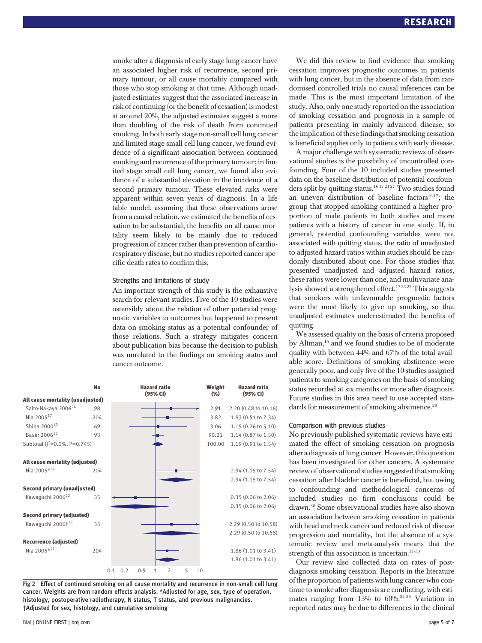smoke after a diagnosis of early stage lung cancer have an associated higher risk of recurrence, second primary tumour, or all cause mortality compared with those who stop smoking at that time. Although unadjusted estimates suggest that the associated increase in risk of continuing (or the benefit of cessation) is modest at around 20%, the adjusted estimates suggest a more than doubling of the risk of death from continued smoking. In both early stage non-small cell lung cancer and limited stage small cell lung cancer, we found evidence of a significant association between continued smoking and recurrence of the primary tumour; in limited stage small cell lung cancer, we found also evidence of a substantial elevation in the incidence of a second primary tumour. These elevated risks were apparent within seven years of diagnosis. In a life table model, assuming that these observations arose from a causal relation, we estimated the benefits of cessation to be substantial; the benefits on all cause mortality seem likely to be mainly due to reduced progression of cancer rather than prevention of cardiorespiratory disease, but no studies reported cancer specific death rates to confirm this.

#### Strengths and limitations of study

An important strength of this study is the exhaustive search for relevant studies. Five of the 10 studies were ostensibly about the relation of other potential prognostic variables to outcomes but happened to present data on smoking status as a potential confounder of those relations. Such a strategy mitigates concern about publication bias because the decision to publish was unrelated to the findings on smoking status and cancer outcome.

|                                    | <b>No</b> | <b>Hazard ratio</b><br>(95% CI)        | Weight<br>$(\%)$ | <b>Hazard ratio</b><br>(95% CI) |
|------------------------------------|-----------|----------------------------------------|------------------|---------------------------------|
| All cause mortality (unadjusted)   |           |                                        |                  |                                 |
| Saito-Nakaya 2006 <sup>24</sup>    | 98        |                                        | 2.91             | 2.20 (0.48 to 10.16)            |
| Nia 2005 <sup>17</sup>             | 204       |                                        | 3.82             | 1.93 (0.51 to 7.34)             |
| Shiba 2000 <sup>25</sup>           | 69        |                                        | 3.06             | $1.15(0.26 \text{ to } 5.10)$   |
| Baser 2006 <sup>16</sup>           | 93        |                                        | 90.21            | 1.14 (0.87 to 1.50)             |
| Subtotal ( $1^2$ =0.0%, P=0.745)   |           |                                        | 100.00           | 1.19 (0.91 to 1.54)             |
| All cause mortality (adjusted)     |           |                                        |                  |                                 |
| Nia 2005*17                        | 204       |                                        |                  |                                 |
|                                    |           |                                        |                  | 2.94 (1.15 to 7.54)             |
|                                    |           |                                        |                  | 2.94 (1.15 to 7.54)             |
| <b>Second primary (unadjusted)</b> |           |                                        |                  |                                 |
| Kawaguchi 2006 <sup>22</sup>       | 35        |                                        |                  | $0.35(0.06 \text{ to } 2.06)$   |
|                                    |           |                                        |                  | $0.35(0.06 \text{ to } 2.06)$   |
| <b>Second primary (adjusted)</b>   |           |                                        |                  |                                 |
| Kawaguchi 2006 <sup>+22</sup>      | 35        |                                        |                  | 2.29 (0.50 to 10.58)            |
|                                    |           |                                        |                  | 2.29 (0.50 to 10.58)            |
| <b>Recurrence (adjusted)</b>       |           |                                        |                  |                                 |
| Nia 2005*17                        | 204       |                                        |                  | 1.86 (1.01 to 3.41)             |
|                                    |           |                                        |                  | 1.86 (1.01 to 3.41)             |
|                                    |           | 0.1<br>0.2<br>0.5<br>5<br>1<br>2<br>10 |                  |                                 |

Fig 2 | Effect of continued smoking on all cause mortality and recurrence in non-small cell lung cancer. Weights are from random effects analysis. \*Adjusted for age, sex, type of operation, histology, postoperative radiotherapy, N status, T status, and previous malignancies. †Adjusted for sex, histology, and cumulative smoking

We did this review to find evidence that smoking cessation improves prognostic outcomes in patients with lung cancer, but in the absence of data from randomised controlled trials no causal inferences can be made. This is the most important limitation of the study. Also, only one study reported on the association of smoking cessation and prognosis in a sample of patients presenting in mainly advanced disease, so the implication of these findings that smoking cessation is beneficial applies only to patients with early disease.

A major challenge with systematic reviews of observational studies is the possibility of uncontrolled confounding. Four of the 10 included studies presented data on the baseline distribution of potential confounders split by quitting status.<sup>16 172127</sup> Two studies found an uneven distribution of baseline factors<sup>1617</sup>; the group that stopped smoking contained a higher proportion of male patients in both studies and more patients with a history of cancer in one study. If, in general, potential confounding variables were not associated with quitting status, the ratio of unadjusted to adjusted hazard ratios within studies should be randomly distributed about one. For those studies that presented unadjusted and adjusted hazard ratios, these ratios were lower than one, and multivariate analysis showed a strengthened effect.<sup>172327</sup> This suggests that smokers with unfavourable prognostic factors were the most likely to give up smoking, so that unadjusted estimates underestimated the benefits of quitting.

We assessed quality on the basis of criteria proposed by Altman,<sup>15</sup> and we found studies to be of moderate quality with between 44% and 67% of the total available score. Definitions of smoking abstinence were generally poor, and only five of the 10 studies assigned patients to smoking categories on the basis of smoking status recorded at six months or more after diagnosis. Future studies in this area need to use accepted standards for measurement of smoking abstinence.<sup>29</sup>

#### Comparison with previous studies

No previously published systematic reviews have estimated the effect of smoking cessation on prognosis after a diagnosis of lung cancer. However, this question has been investigated for other cancers. A systematic review of observational studies suggested that smoking cessation after bladder cancer is beneficial, but owing to confounding and methodological concerns of included studies no firm conclusions could be drawn.30 Some observational studies have also shown an association between smoking cessation in patients with head and neck cancer and reduced risk of disease progression and mortality, but the absence of a systematic review and meta-analysis means that the strength of this association is uncertain.<sup>31-33</sup>

Our review also collected data on rates of postdiagnosis smoking cessation. Reports in the literature of the proportion of patients with lung cancer who continue to smoke after diagnosis are conflicting, with estimates ranging from 13% to 60%.34-36 Variation in reported rates may be due to differences in the clinical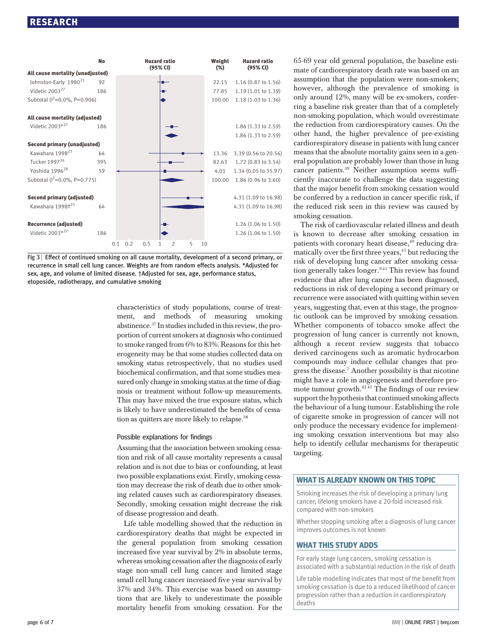|                                    | No  |            | <b>Hazard ratio</b><br>(95% CI) |                         |         | Weight<br>$(\%)$ | <b>Hazard ratio</b><br>(95% CI) |
|------------------------------------|-----|------------|---------------------------------|-------------------------|---------|------------------|---------------------------------|
| All cause mortality (unadjusted)   |     |            |                                 |                         |         |                  |                                 |
| Johnston-Early 1980 <sup>21</sup>  | 92  |            |                                 |                         |         | 22.15            | 1.16 (0.87 to 1.56)             |
| Videtic $2003^{27}$                | 186 |            |                                 |                         |         | 77.85            | 1.19 (1.01 to 1.39)             |
| Subtotal ( $l^2$ =0.0%, P=0.906)   |     |            |                                 |                         |         | 100.00           | $1.18(1.03 \text{ to } 1.36)$   |
| All cause mortality (adjusted)     |     |            |                                 |                         |         |                  |                                 |
| Videtic $2003*^{27}$               | 186 |            |                                 |                         |         |                  | 1.86 (1.33 to 2.59)             |
|                                    |     |            |                                 |                         |         |                  | 1.86 (1.33 to 2.59)             |
| <b>Second primary (unadjusted)</b> |     |            |                                 |                         |         |                  |                                 |
| Kawahara 1998 <sup>23</sup>        | 64  |            |                                 |                         |         | 13.36            | 3.39 (0.56 to 20.56)            |
| Tucker 1997 <sup>26</sup>          | 395 |            |                                 |                         |         | 82.63            | 1.72 (0.83 to 3.54)             |
| Yoshida 1996 <sup>28</sup>         | 59  |            |                                 |                         |         | 4.01             | 1.34 (0.05 to 35.97)            |
| Subtotal ( $l^2$ =0.0%, P=0.775)   |     |            |                                 |                         |         | 100.00           | 1.86 (0.96 to 3.60)             |
| <b>Second primary (adjusted)</b>   |     |            |                                 |                         |         |                  | 4.31 (1.09 to 16.98)            |
| Kawahara 1998t <sup>23</sup>       | 64  |            |                                 |                         |         |                  | 4.31 (1.09 to 16.98)            |
| <b>Recurrence (adjusted)</b>       |     |            |                                 |                         |         |                  | 1.26 (1.06 to 1.50)             |
| Videtic $2003*^{27}$               | 186 |            |                                 |                         |         |                  | 1.26 (1.06 to 1.50)             |
|                                    |     | 0.1<br>0.2 | 0.5                             | $\overline{\mathbf{c}}$ | 5<br>10 |                  |                                 |

Fig 3 | Effect of continued smoking on all cause mortality, development of a second primary, or recurrence in small cell lung cancer. Weights are from random effects analysis. \*Adjusted for sex, age, and volume of limited disease. †Adjusted for sex, age, performance status, etoposide, radiotherapy, and cumulative smoking

> characteristics of study populations, course of treatment, and methods of measuring smoking abstinence.37 In studies included in this review, the proportion of current smokers at diagnosis who continued to smoke ranged from 6% to 83%. Reasons for this heterogeneity may be that some studies collected data on smoking status retrospectively, that no studies used biochemical confirmation, and that some studies measured only change in smoking status at the time of diagnosis or treatment without follow-up measurements. This may have mixed the true exposure status, which is likely to have underestimated the benefits of cessation as quitters are more likely to relapse.<sup>38</sup>

#### Possible explanations for findings

Assuming that the association between smoking cessation and risk of all cause mortality represents a causal relation and is not due to bias or confounding, at least two possible explanations exist. Firstly, smoking cessation may decrease the risk of death due to other smoking related causes such as cardiorespiratory diseases. Secondly, smoking cessation might decrease the risk of disease progression and death.

Life table modelling showed that the reduction in cardiorespiratory deaths that might be expected in the general population from smoking cessation increased five year survival by 2% in absolute terms, whereas smoking cessation after the diagnosis of early stage non-small cell lung cancer and limited stage small cell lung cancer increased five year survival by 37% and 34%. This exercise was based on assumptions that are likely to underestimate the possible mortality benefit from smoking cessation. For the 65-69 year old general population, the baseline estimate of cardiorespiratory death rate was based on an assumption that the population were non-smokers; however, although the prevalence of smoking is only around 12%, many will be ex-smokers, conferring a baseline risk greater than that of a completely non-smoking population, which would overestimate the reduction from cardiorespiratory causes. On the other hand, the higher prevalence of pre-existing cardiorespiratory disease in patients with lung cancer means that the absolute mortality gains seen in a general population are probably lower than those in lung cancer patients.<sup>39</sup> Neither assumption seems sufficiently inaccurate to challenge the data suggesting that the major benefit from smoking cessation would be conferred by a reduction in cancer specific risk, if the reduced risk seen in this review was caused by smoking cessation.

The risk of cardiovascular related illness and death is known to decrease after smoking cessation in patients with coronary heart disease,<sup>40</sup> reducing dramatically over the first three years,<sup>41</sup> but reducing the risk of developing lung cancer after smoking cessation generally takes longer.<sup>941</sup> This review has found evidence that after lung cancer has been diagnosed, reductions in risk of developing a second primary or recurrence were associated with quitting within seven years, suggesting that, even at this stage, the prognostic outlook can be improved by smoking cessation. Whether components of tobacco smoke affect the progression of lung cancer is currently not known, although a recent review suggests that tobacco derived carcinogens such as aromatic hydrocarbon compounds may induce cellular changes that progress the disease.<sup>7</sup> Another possibility is that nicotine might have a role in angiogenesis and therefore promote tumour growth. $42\frac{43}{10}$  The findings of our review support the hypothesis that continued smoking affects the behaviour of a lung tumour. Establishing the role of cigarette smoke in progression of cancer will not only produce the necessary evidence for implementing smoking cessation interventions but may also help to identify cellular mechanisms for therapeutic targeting.

-<br>Smoking increases the risk of developing a primary lung cancer; lifelong smokers have a 20-fold increased risk compared with non-smokers

Whether stopping smoking after a diagnosis of lung cancer improves outcomes is not known

For early stage lung cancers, smoking cessation is associated with a substantial reduction in the risk of death

Life table modelling indicates that most of the benefit from smoking cessation is due to a reduced likelihood of cancer progression rather than a reduction in cardiorespiratory deaths